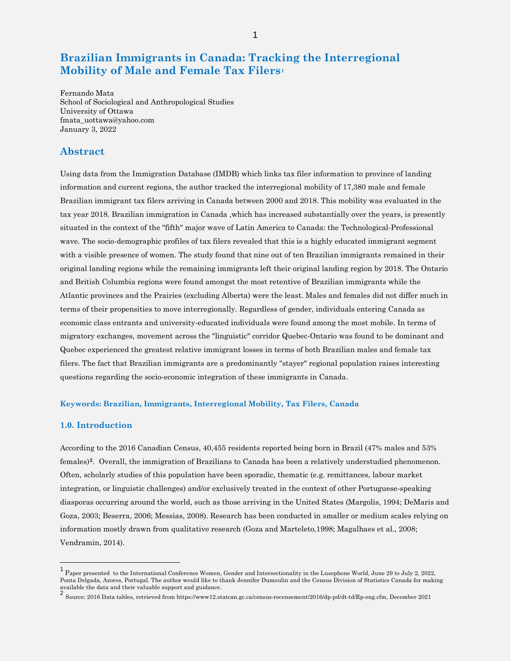# **Brazilian Immigrants in Canada: Tracking the Interregional Mobility of Male and Female Tax Filers[1](#page-0-0)**

Fernando Mata School of Sociological and Anthropological Studies University of Ottawa fmata\_uottawa@yahoo.com January 3, 2022

# **Abstract**

Using data from the Immigration Database (IMDB) which links tax filer information to province of landing information and current regions, the author tracked the interregional mobility of 17,380 male and female Brazilian immigrant tax filers arriving in Canada between 2000 and 2018. This mobility was evaluated in the tax year 2018. Brazilian immigration in Canada ,which has increased substantially over the years, is presently situated in the context of the "fifth" major wave of Latin America to Canada: the Technological-Professional wave. The socio-demographic profiles of tax filers revealed that this is a highly educated immigrant segment with a visible presence of women. The study found that nine out of ten Brazilian immigrants remained in their original landing regions while the remaining immigrants left their original landing region by 2018. The Ontario and British Columbia regions were found amongst the most retentive of Brazilian immigrants while the Atlantic provinces and the Prairies (excluding Alberta) were the least. Males and females did not differ much in terms of their propensities to move interregionally. Regardless of gender, individuals entering Canada as economic class entrants and university-educated individuals were found among the most mobile. In terms of migratory exchanges, movement across the "linguistic" corridor Quebec-Ontario was found to be dominant and Quebec experienced the greatest relative immigrant losses in terms of both Brazilian males and female tax filers. The fact that Brazilian immigrants are a predominantly "stayer" regional population raises interesting questions regarding the socio-economic integration of these immigrants in Canada.

#### **Keywords: Brazilian, Immigrants, Interregional Mobility, Tax Filers, Canada**

### **1.0. Introduction**

 $\overline{a}$ 

According to the 2016 Canadian Census, 40,455 residents reported being born in Brazil (47% males and 53% females)**[2](#page-0-1)**. Overall, the immigration of Brazilians to Canada has been a relatively understudied phenomenon. Often, scholarly studies of this population have been sporadic, thematic (e.g. remittances, labour market integration, or linguistic challenges) and/or exclusively treated in the context of other Portuguese-speaking diasporas occurring around the world, such as those arriving in the United States (Margolis, 1994; DeMaris and Goza, 2003; Beserra, 2006; Messias, 2008). Research has been conducted in smaller or medium scales relying on information mostly drawn from qualitative research (Goza and Marteleto,1998; Magalhaes et al., 2008; Vendramin, 2014).

<span id="page-0-0"></span><sup>&</sup>lt;sup>1</sup> Paper presented to the International Conference Women, Gender and Intersectionality in the Lusophone World, June 29 to July 2, 2022, Ponta Delgada, Azores, Portugal. The author would like to thank Jennifer Dumoulin and the Census Division of Statistics Canada for making available the data and their valuable support and guidance.

<span id="page-0-1"></span> $^2$  Source: 2016 Data tables, retrieved from https://www12.statcan.gc.ca/census-recensement/2016/dp-pd/dt-td/Rp-eng.cfm, December 2021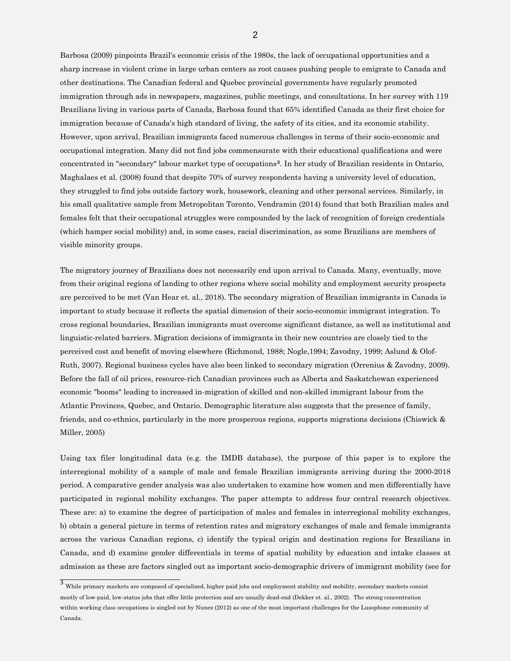Barbosa (2009) pinpoints Brazil's economic crisis of the 1980s, the lack of occupational opportunities and a sharp increase in violent crime in large urban centers as root causes pushing people to emigrate to Canada and other destinations. The Canadian federal and Quebec provincial governments have regularly promoted immigration through ads in newspapers, magazines, public meetings, and consultations. In her survey with 119 Brazilians living in various parts of Canada, Barbosa found that 65% identified Canada as their first choice for immigration because of Canada's high standard of living, the safety of its cities, and its economic stability. However, upon arrival, Brazilian immigrants faced numerous challenges in terms of their socio-economic and occupational integration. Many did not find jobs commensurate with their educational qualifications and were concentrated in "secondary" labour market type of occupations**[3](#page-1-0)**. In her study of Brazilian residents in Ontario, Maghalaes et al. (2008) found that despite 70% of survey respondents having a university level of education, they struggled to find jobs outside factory work, housework, cleaning and other personal services. Similarly, in his small qualitative sample from Metropolitan Toronto, Vendramin (2014) found that both Brazilian males and females felt that their occupational struggles were compounded by the lack of recognition of foreign credentials (which hamper social mobility) and, in some cases, racial discrimination, as some Brazilians are members of visible minority groups.

The migratory journey of Brazilians does not necessarily end upon arrival to Canada. Many, eventually, move from their original regions of landing to other regions where social mobility and employment security prospects are perceived to be met (Van Hear et. al., 2018). The secondary migration of Brazilian immigrants in Canada is important to study because it reflects the spatial dimension of their socio-economic immigrant integration. To cross regional boundaries, Brazilian immigrants must overcome significant distance, as well as institutional and linguistic-related barriers. Migration decisions of immigrants in their new countries are closely tied to the perceived cost and benefit of moving elsewhere (Richmond, 1988; Nogle,1994; Zavodny, 1999; Aslund & Olof-Ruth, 2007). Regional business cycles have also been linked to secondary migration (Orrenius & Zavodny, 2009). Before the fall of oil prices, resource-rich Canadian provinces such as Alberta and Saskatchewan experienced economic "booms" leading to increased in-migration of skilled and non-skilled immigrant labour from the Atlantic Provinces, Quebec, and Ontario. Demographic literature also suggests that the presence of family, friends, and co-ethnics, particularly in the more prosperous regions, supports migrations decisions (Chiswick & Miller, 2005)

Using tax filer longitudinal data (e.g. the IMDB database), the purpose of this paper is to explore the interregional mobility of a sample of male and female Brazilian immigrants arriving during the 2000-2018 period. A comparative gender analysis was also undertaken to examine how women and men differentially have participated in regional mobility exchanges. The paper attempts to address four central research objectives. These are: a) to examine the degree of participation of males and females in interregional mobility exchanges, b) obtain a general picture in terms of retention rates and migratory exchanges of male and female immigrants across the various Canadian regions, c) identify the typical origin and destination regions for Brazilians in Canada, and d) examine gender differentials in terms of spatial mobility by education and intake classes at admission as these are factors singled out as important socio-demographic drivers of immigrant mobility (see for

2

<span id="page-1-0"></span> $\frac{3}{3}$  While primary markets are composed of specialized, higher paid jobs and employment stability and mobility, secondary markets consist mostly of low-paid, low-status jobs that offer little protection and are usually dead-end (Dekker et. al., 2002). The strong concentration within working class occupations is singled out by Nunez (2012) as one of the most important challenges for the Lusophone community of Canada.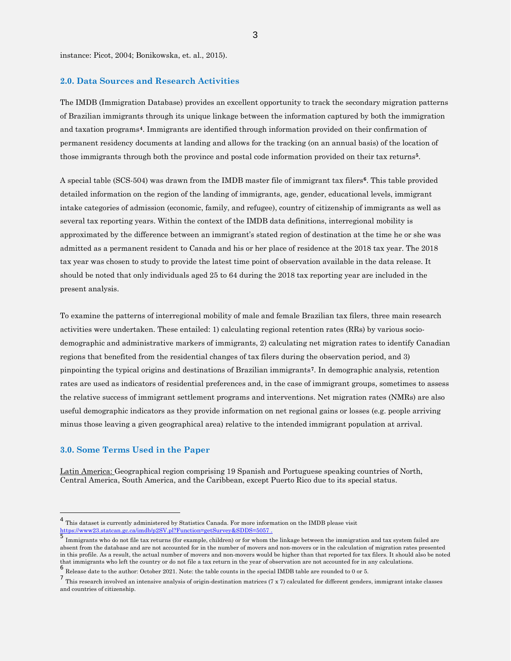instance: Picot, 2004; Bonikowska, et. al., 2015).

#### **2.0. Data Sources and Research Activities**

The IMDB (Immigration Database) provides an excellent opportunity to track the secondary migration patterns of Brazilian immigrants through its unique linkage between the information captured by both the immigration and taxation programs**[4](#page-2-0)**. Immigrants are identified through information provided on their confirmation of permanent residency documents at landing and allows for the tracking (on an annual basis) of the location of those immigrants through both the province and postal code information provided on their tax returns**[5](#page-2-1)**.

A special table (SCS-504) was drawn from the IMDB master file of immigrant tax filers**[6](#page-2-2)**. This table provided detailed information on the region of the landing of immigrants, age, gender, educational levels, immigrant intake categories of admission (economic, family, and refugee), country of citizenship of immigrants as well as several tax reporting years. Within the context of the IMDB data definitions, interregional mobility is approximated by the difference between an immigrant's stated region of destination at the time he or she was admitted as a permanent resident to Canada and his or her place of residence at the 2018 tax year. The 2018 tax year was chosen to study to provide the latest time point of observation available in the data release. It should be noted that only individuals aged 25 to 64 during the 2018 tax reporting year are included in the present analysis.

To examine the patterns of interregional mobility of male and female Brazilian tax filers, three main research activities were undertaken. These entailed: 1) calculating regional retention rates (RRs) by various sociodemographic and administrative markers of immigrants, 2) calculating net migration rates to identify Canadian regions that benefited from the residential changes of tax filers during the observation period, and 3) pinpointing the typical origins and destinations of Brazilian immigrants**[7](#page-2-3)**. In demographic analysis, retention rates are used as indicators of residential preferences and, in the case of immigrant groups, sometimes to assess the relative success of immigrant settlement programs and interventions. Net migration rates (NMRs) are also useful demographic indicators as they provide information on net regional gains or losses (e.g. people arriving minus those leaving a given geographical area) relative to the intended immigrant population at arrival.

# **3.0. Some Terms Used in the Paper**

Latin America: Geographical region comprising 19 Spanish and Portuguese speaking countries of North, Central America, South America, and the Caribbean, except Puerto Rico due to its special status.

<span id="page-2-0"></span><sup>4</sup> This dataset is currently administered by Statistics Canada. For more information on the IMDB please visit [https://www23.statcan.gc.ca/imdb/p2SV.pl?Function=getSurvey&SDDS=5057 .](https://www23.statcan.gc.ca/imdb/p2SV.pl?Function=getSurvey&SDDS=5057)

<span id="page-2-1"></span><sup>5</sup> Immigrants who do not file tax returns (for example, children) or for whom the linkage between the immigration and tax system failed are absent from the database and are not accounted for in the number of movers and non-movers or in the calculation of migration rates presented in this profile. As a result, the actual number of movers and non-movers would be higher than that reported for tax filers. It should also be noted that immigrants who left the country or do not file a tax return in the year of observation are not accounted for in any calculations.

<span id="page-2-2"></span><sup>6</sup> Release date to the author: October 2021. Note: the table counts in the special IMDB table are rounded to 0 or 5.

<span id="page-2-3"></span> $^7$  This research involved an intensive analysis of origin-destination matrices (7 x 7) calculated for different genders, immigrant intake classes and countries of citizenship.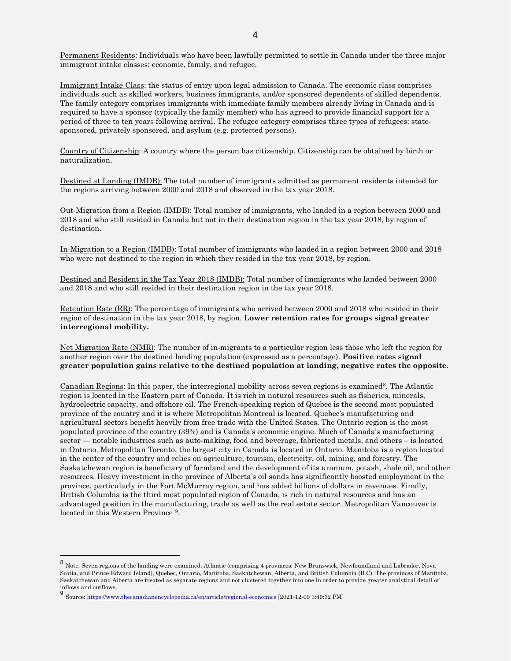Permanent Residents: Individuals who have been lawfully permitted to settle in Canada under the three major immigrant intake classes: economic, family, and refugee.

Immigrant Intake Class: the status of entry upon legal admission to Canada. The economic class comprises individuals such as skilled workers, business immigrants, and/or sponsored dependents of skilled dependents. The family category comprises immigrants with immediate family members already living in Canada and is required to have a sponsor (typically the family member) who has agreed to provide financial support for a period of three to ten years following arrival. The refugee category comprises three types of refugees: statesponsored, privately sponsored, and asylum (e.g. protected persons).

Country of Citizenship: A country where the person has citizenship. Citizenship can be obtained by birth or naturalization.

Destined at Landing (IMDB): The total number of immigrants admitted as permanent residents intended for the regions arriving between 2000 and 2018 and observed in the tax year 2018.

Out-Migration from a Region (IMDB): Total number of immigrants, who landed in a region between 2000 and 2018 and who still resided in Canada but not in their destination region in the tax year 2018, by region of destination.

In-Migration to a Region (IMDB): Total number of immigrants who landed in a region between 2000 and 2018 who were not destined to the region in which they resided in the tax year 2018, by region.

Destined and Resident in the Tax Year 2018 (IMDB): Total number of immigrants who landed between 2000 and 2018 and who still resided in their destination region in the tax year 2018.

Retention Rate (RR): The percentage of immigrants who arrived between 2000 and 2018 who resided in their region of destination in the tax year 2018, by region. **Lower retention rates for groups signal greater interregional mobility.**

Net Migration Rate (NMR): The number of in-migrants to a particular region less those who left the region for another region over the destined landing population (expressed as a percentage). **Positive rates signal greater population gains relative to the destined population at landing, negative rates the opposite**.

Canadian Regions: In this paper, the interregional mobility across seven regions is examined<sup>[8](#page-3-0)</sup>. The Atlantic region is located in the Eastern part of Canada. It is rich in natural resources such as fisheries, minerals, hydroelectric capacity, and offshore oil. The French-speaking region of Quebec is the second most populated province of the country and it is where Metropolitan Montreal is located. Quebec's manufacturing and agricultural sectors benefit heavily from free trade with the United States. The Ontario region is the most populated province of the country (39%) and is Canada's economic engine. Much of Canada's manufacturing sector — notable industries such as auto-making, food and beverage, fabricated metals, and others – is located in Ontario. Metropolitan Toronto, the largest city in Canada is located in Ontario. Manitoba is a region located in the center of the country and relies on agriculture, tourism, electricity, oil, mining, and forestry. The Saskatchewan region is beneficiary of farmland and the development of its uranium, potash, shale oil, and other resources. Heavy investment in the province of Alberta's oil sands has significantly boosted employment in the province, particularly in the Fort McMurray region, and has added billions of dollars in revenues. Finally, British Columbia is the third most populated region of Canada, is rich in natural resources and has an advantaged position in the manufacturing, trade as well as the real estate sector. Metropolitan Vancouver is located in this Western Province [9](#page-3-1).

<span id="page-3-0"></span><sup>8</sup> Note: Seven regions of the landing were examined: Atlantic (comprising 4 provinces: New Brunswick, Newfoundland and Labrador, Nova Scotia, and Prince Edward Island), Quebec, Ontario, Manitoba, Saskatchewan, Alberta, and British Columbia (B.C). The provinces of Manitoba, Saskatchewan and Alberta are treated as separate regions and not clustered together into one in order to provide greater analytical detail of inflows and outflows.

<span id="page-3-1"></span><sup>&</sup>lt;sup>9</sup> Source[: https://www.thecanadianencyclopedia.ca/en/article/regional-economics](https://www.thecanadianencyclopedia.ca/en/article/regional-economics) [2021-12-09 3:49:32 PM]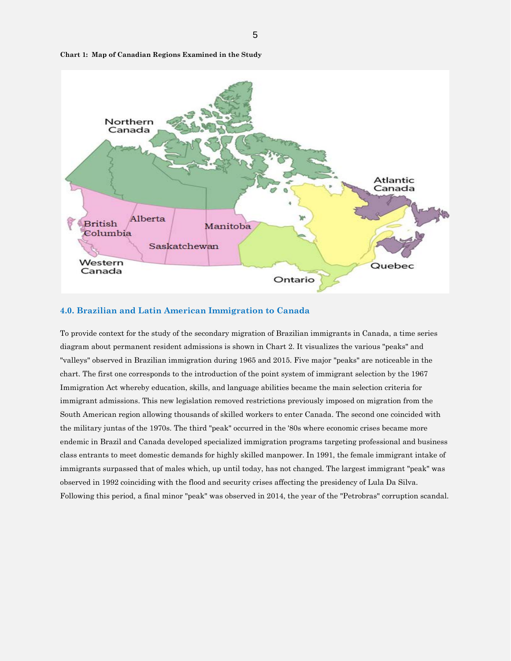

**Chart 1: Map of Canadian Regions Examined in the Study**

### **4.0. Brazilian and Latin American Immigration to Canada**

To provide context for the study of the secondary migration of Brazilian immigrants in Canada, a time series diagram about permanent resident admissions is shown in Chart 2. It visualizes the various "peaks" and "valleys" observed in Brazilian immigration during 1965 and 2015. Five major "peaks" are noticeable in the chart. The first one corresponds to the introduction of the point system of immigrant selection by the 1967 Immigration Act whereby education, skills, and language abilities became the main selection criteria for immigrant admissions. This new legislation removed restrictions previously imposed on migration from the South American region allowing thousands of skilled workers to enter Canada. The second one coincided with the military juntas of the 1970s. The third "peak" occurred in the '80s where economic crises became more endemic in Brazil and Canada developed specialized immigration programs targeting professional and business class entrants to meet domestic demands for highly skilled manpower. In 1991, the female immigrant intake of immigrants surpassed that of males which, up until today, has not changed. The largest immigrant "peak" was observed in 1992 coinciding with the flood and security crises affecting the presidency of Lula Da Silva. Following this period, a final minor "peak" was observed in 2014, the year of the "Petrobras" corruption scandal.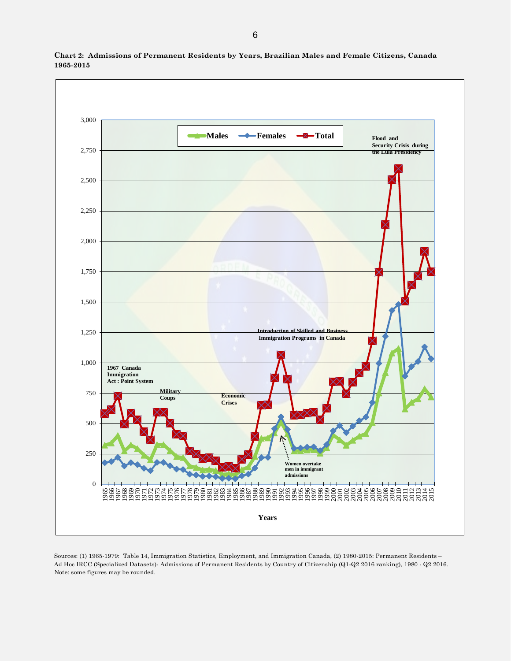

**Chart 2: Admissions of Permanent Residents by Years, Brazilian Males and Female Citizens, Canada 1965-2015**

Sources: (1) 1965-1979: Table 14, Immigration Statistics, Employment, and Immigration Canada, (2) 1980-2015: Permanent Residents – Ad Hoc IRCC (Specialized Datasets)- Admissions of Permanent Residents by Country of Citizenship (Q1-Q2 2016 ranking), 1980 - Q2 2016. Note: some figures may be rounded.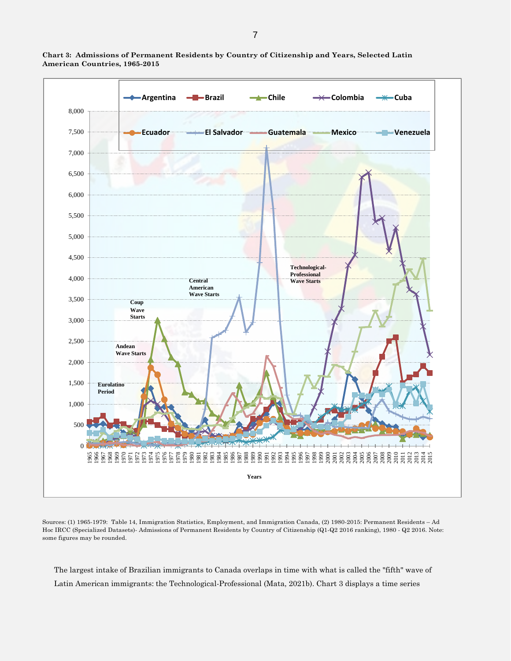

**Chart 3: Admissions of Permanent Residents by Country of Citizenship and Years, Selected Latin American Countries, 1965-2015**

Sources: (1) 1965-1979: Table 14, Immigration Statistics, Employment, and Immigration Canada, (2) 1980-2015: Permanent Residents – Ad Hoc IRCC (Specialized Datasets)- Admissions of Permanent Residents by Country of Citizenship (Q1-Q2 2016 ranking), 1980 - Q2 2016. Note: some figures may be rounded.

The largest intake of Brazilian immigrants to Canada overlaps in time with what is called the "fifth" wave of Latin American immigrants: the Technological-Professional (Mata, 2021b). Chart 3 displays a time series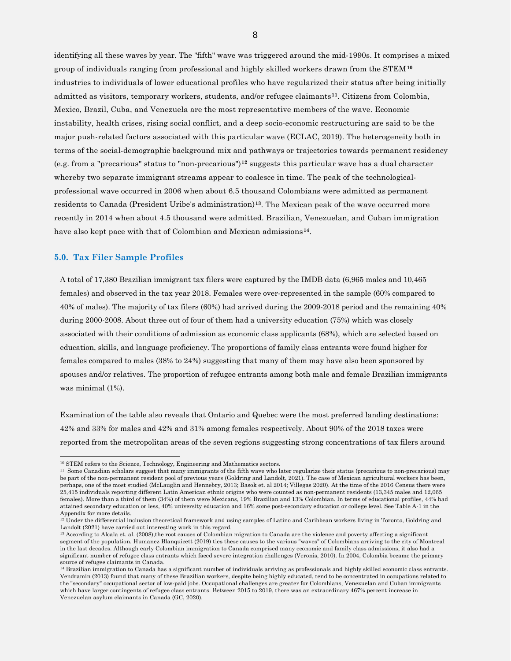identifying all these waves by year. The "fifth" wave was triggered around the mid-1990s. It comprises a mixed group of individuals ranging from professional and highly skilled workers drawn from the STEM**[10](#page-7-0)** industries to individuals of lower educational profiles who have regularized their status after being initially admitted as visitors, temporary workers, students, and/or refugee claimants**[11](#page-7-1)**. Citizens from Colombia, Mexico, Brazil, Cuba, and Venezuela are the most representative members of the wave. Economic instability, health crises, rising social conflict, and a deep socio-economic restructuring are said to be the major push-related factors associated with this particular wave (ECLAC, 2019). The heterogeneity both in terms of the social-demographic background mix and pathways or trajectories towards permanent residency (e.g. from a "precarious" status to "non-precarious")**[12](#page-7-2)** suggests this particular wave has a dual character whereby two separate immigrant streams appear to coalesce in time. The peak of the technologicalprofessional wave occurred in 2006 when about 6.5 thousand Colombians were admitted as permanent residents to Canada (President Uribe's administration)**[13](#page-7-3)**. The Mexican peak of the wave occurred more recently in 2014 when about 4.5 thousand were admitted. Brazilian, Venezuelan, and Cuban immigration have also kept pace with that of Colombian and Mexican admissions**[14](#page-7-4)**.

#### **5.0. Tax Filer Sample Profiles**

A total of 17,380 Brazilian immigrant tax filers were captured by the IMDB data (6,965 males and 10,465 females) and observed in the tax year 2018. Females were over-represented in the sample (60% compared to 40% of males). The majority of tax filers (60%) had arrived during the 2009-2018 period and the remaining 40% during 2000-2008. About three out of four of them had a university education (75%) which was closely associated with their conditions of admission as economic class applicants (68%), which are selected based on education, skills, and language proficiency. The proportions of family class entrants were found higher for females compared to males (38% to 24%) suggesting that many of them may have also been sponsored by spouses and/or relatives. The proportion of refugee entrants among both male and female Brazilian immigrants was minimal (1%).

Examination of the table also reveals that Ontario and Quebec were the most preferred landing destinations: 42% and 33% for males and 42% and 31% among females respectively. About 90% of the 2018 taxes were reported from the metropolitan areas of the seven regions suggesting strong concentrations of tax filers around

8

<span id="page-7-1"></span><span id="page-7-0"></span><sup>&</sup>lt;sup>10</sup> STEM refers to the Science, Technology, Engineering and Mathematics sectors.<br><sup>11</sup> Some Canadian scholars suggest that many immigrants of the fifth wave who later regularize their status (precarious to non-precarious) be part of the non-permanent resident pool of previous years (Goldring and Landolt, 2021). The case of Mexican agricultural workers has been, perhaps, one of the most studied (McLauglin and Hennebry, 2013; Basok et. al 2014; Villegas 2020). At the time of the 2016 Census there were 25,415 individuals reporting different Latin American ethnic origins who were counted as non-permanent residents (13,345 males and 12,065 females). More than a third of them (34%) of them were Mexicans, 19% Brazilian and 13% Colombian. In terms of educational profiles, 44% had attained secondary education or less, 40% university education and 16% some post-secondary education or college level. See Table A-1 in the Appendix for more details.<br><sup>12</sup> Under the differential inclusion theoretical framework and using samples of Latino and Caribbean workers living in Toronto, Goldring and

<span id="page-7-2"></span>Landolt (2021) have carried out interesting work in this regard.<br><sup>13</sup> According to Alcala et. al. (2008),the root causes of Colombian migration to Canada are the violence and poverty affecting a significant

<span id="page-7-3"></span>segment of the population. Humanez Blanquicett (2019) ties these causes to the various "waves" of Colombians arriving to the city of Montreal in the last decades. Although early Colombian immigration to Canada comprised many economic and family class admissions, it also had a significant number of refugee class entrants which faced severe integration challenges (Veronis, 2010). In 2004, Colombia became the primary source of refugee claimants in Canada.

<span id="page-7-4"></span><sup>&</sup>lt;sup>14</sup> Brazilian immigration to Canada has a significant number of individuals arriving as professionals and highly skilled economic class entrants. Vendramin (2013) found that many of these Brazilian workers, despite being highly educated, tend to be concentrated in occupations related to the "secondary" occupational sector of low-paid jobs. Occupational challenges are greater for Colombians, Venezuelan and Cuban immigrants which have larger contingents of refugee class entrants. Between 2015 to 2019, there was an extraordinary 467% percent increase in Venezuelan asylum claimants in Canada (GC, 2020).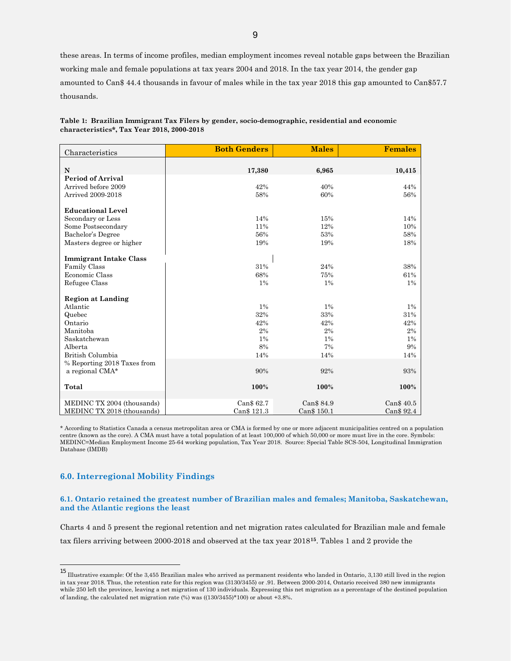these areas. In terms of income profiles, median employment incomes reveal notable gaps between the Brazilian working male and female populations at tax years 2004 and 2018. In the tax year 2014, the gender gap amounted to Can\$ 44.4 thousands in favour of males while in the tax year 2018 this gap amounted to Can\$57.7 thousands.

| Characteristics               | <b>Both Genders</b> | <b>Males</b> | <b>Females</b> |
|-------------------------------|---------------------|--------------|----------------|
|                               |                     |              |                |
| N                             | 17,380              | 6,965        | 10,415         |
| <b>Period of Arrival</b>      |                     |              |                |
| Arrived before 2009           | 42%                 | 40%          | 44%            |
| Arrived 2009-2018             | 58%                 | 60%          | 56%            |
| <b>Educational Level</b>      |                     |              |                |
| Secondary or Less             | 14%                 | 15%          | 14%            |
| Some Postsecondary            | 11%                 | 12%          | 10%            |
| Bachelor's Degree             | 56%                 | 53%          | 58%            |
| Masters degree or higher      | 19%                 | 19%          | 18%            |
|                               |                     |              |                |
| <b>Immigrant Intake Class</b> |                     |              |                |
| Family Class                  | 31%                 | 24%          | 38%            |
| Economic Class                | 68%                 | 75%          | 61%            |
| Refugee Class                 | $1\%$               | $1\%$        | $1\%$          |
|                               |                     |              |                |
| <b>Region at Landing</b>      |                     |              |                |
| Atlantic                      | $1\%$               | $1\%$        | $1\%$          |
| Quebec                        | 32%                 | 33%          | 31%            |
| Ontario                       | 42%                 | 42%          | 42%            |
| Manitoba                      | 2%                  | 2%           | 2%             |
| Saskatchewan                  | 1%                  | 1%           | $1\%$          |
| Alberta                       | 8%                  | 7%           | 9%             |
| British Columbia              | 14%                 | 14%          | 14%            |
| % Reporting 2018 Taxes from   |                     |              |                |
| a regional CMA*               | 90%                 | 92%          | 93%            |
|                               |                     |              |                |
| Total                         | 100%                | 100%         | 100%           |
|                               |                     |              |                |
| MEDINC TX 2004 (thousands)    | Can\$ 62.7          | Can\$ 84.9   | Can\$ 40.5     |
| MEDINC TX 2018 (thousands)    | Can\$ 121.3         | Can\$ 150.1  | Can\$ 92.4     |

**Table 1: Brazilian Immigrant Tax Filers by gender, socio-demographic, residential and economic characteristics\*, Tax Year 2018, 2000-2018** 

\* According to Statistics Canada a census metropolitan area or CMA is formed by one or more adjacent municipalities centred on a population centre (known as the core). A CMA must have a total population of at least 100,000 of which 50,000 or more must live in the core. Symbols: MEDINC=Median Employment Income 25-64 working population, Tax Year 2018. Source: Special Table SCS-504, Longitudinal Immigration Database (IMDB)

# **6.0. Interregional Mobility Findings**

#### **6.1. Ontario retained the greatest number of Brazilian males and females; Manitoba, Saskatchewan, and the Atlantic regions the least**

Charts 4 and 5 present the regional retention and net migration rates calculated for Brazilian male and female tax filers arriving between 2000-2018 and observed at the tax year 2018**[15](#page-8-0)**. Tables 1 and 2 provide the

<span id="page-8-0"></span><sup>15</sup> Illustrative example: Of the 3,455 Brazilian males who arrived as permanent residents who landed in Ontario, 3,130 still lived in the region in tax year 2018. Thus, the retention rate for this region was (3130/3455) or .91. Between 2000-2014, Ontario received 380 new immigrants while 250 left the province, leaving a net migration of 130 individuals. Expressing this net migration as a percentage of the destined population of landing, the calculated net migration rate (%) was ((130/3455)\*100) or about +3.8%.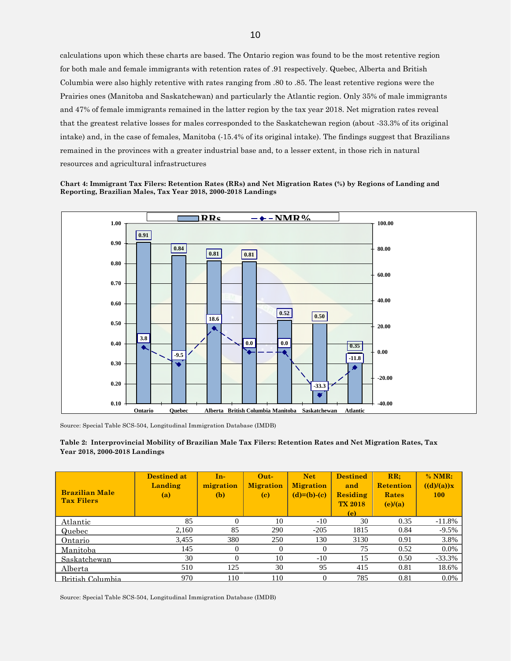calculations upon which these charts are based. The Ontario region was found to be the most retentive region for both male and female immigrants with retention rates of .91 respectively. Quebec, Alberta and British Columbia were also highly retentive with rates ranging from .80 to .85. The least retentive regions were the Prairies ones (Manitoba and Saskatchewan) and particularly the Atlantic region. Only 35% of male immigrants and 47% of female immigrants remained in the latter region by the tax year 2018. Net migration rates reveal that the greatest relative losses for males corresponded to the Saskatchewan region (about -33.3% of its original intake) and, in the case of females, Manitoba (-15.4% of its original intake). The findings suggest that Brazilians remained in the provinces with a greater industrial base and, to a lesser extent, in those rich in natural resources and agricultural infrastructures





Source: Special Table SCS-504, Longitudinal Immigration Database (IMDB)



| <b>Brazilian Male</b><br><b>Tax Filers</b> | <b>Destined at</b><br>Landing<br>(a) | $In-$<br>migration<br>(b) | $Out-$<br><b>Migration</b><br>(c) | <b>Net</b><br><b>Migration</b><br>$(d)=(b)-(c)$ | <b>Destined</b><br>and<br>Residing<br><b>TX 2018</b><br>(e) | RR:<br><b>Retention</b><br>Rates<br>(e)/(a) | $%$ NMR:<br>((d)/(a))x<br>100 |
|--------------------------------------------|--------------------------------------|---------------------------|-----------------------------------|-------------------------------------------------|-------------------------------------------------------------|---------------------------------------------|-------------------------------|
| Atlantic                                   | 85                                   | $\Omega$                  | 10                                | $-10$                                           | 30                                                          | 0.35                                        | $-11.8%$                      |
| Quebec                                     | 2,160                                | 85                        | 290                               | $-205$                                          | 1815                                                        | 0.84                                        | $-9.5\%$                      |
| Ontario                                    | 3,455                                | 380                       | 250                               | 130                                             | 3130                                                        | 0.91                                        | 3.8%                          |
| Manitoba                                   | 145                                  | 0                         | 0                                 | $\theta$                                        | 75                                                          | 0.52                                        | $0.0\%$                       |
| Saskatchewan                               | 30                                   | $\Omega$                  | 10                                | $-10$                                           | 15                                                          | 0.50                                        | $-33.3%$                      |
| Alberta                                    | 510                                  | 125                       | 30                                | 95                                              | 415                                                         | 0.81                                        | 18.6%                         |
| <b>British Columbia</b>                    | 970                                  | 110                       | 110                               |                                                 | 785                                                         | 0.81                                        | $0.0\%$                       |

Source: Special Table SCS-504, Longitudinal Immigration Database (IMDB)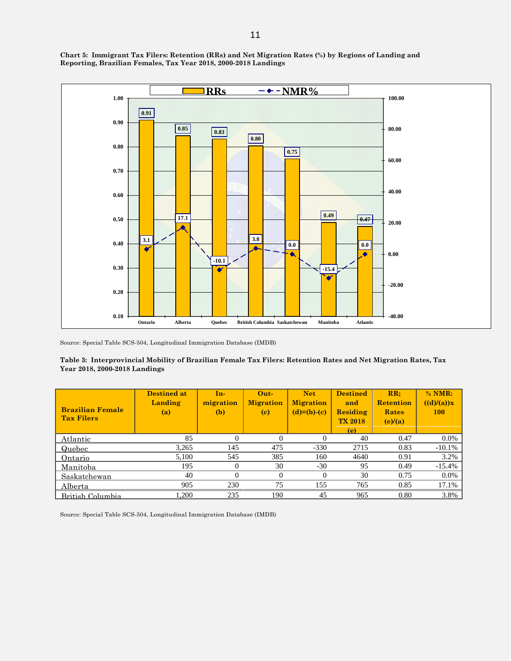**Chart 5: Immigrant Tax Filers: Retention (RRs) and Net Migration Rates (%) by Regions of Landing and Reporting, Brazilian Females, Tax Year 2018, 2000-2018 Landings**



Source: Special Table SCS-504, Longitudinal Immigration Database (IMDB)

#### **Table 3: Interprovincial Mobility of Brazilian Female Tax Filers: Retention Rates and Net Migration Rates, Tax Year 2018, 2000-2018 Landings**

| <b>Brazilian Female</b><br><b>Tax Filers</b> | <b>Destined at</b><br>Landing<br>(a) | In-<br>migration<br>(b) | $Out-$<br><b>Migration</b><br>(c) | <b>Net</b><br><b>Migration</b><br>$(d)=(b)-(c)$ | <b>Destined</b><br>and<br><b>Residing</b><br><b>TX 2018</b><br>(e) | RR:<br><b>Retention</b><br>Rates<br>(e)/(a) | % NMR:<br>((d)/(a))x<br>100 |
|----------------------------------------------|--------------------------------------|-------------------------|-----------------------------------|-------------------------------------------------|--------------------------------------------------------------------|---------------------------------------------|-----------------------------|
| Atlantic                                     | 85                                   | 0                       |                                   | $^{(1)}$                                        | 40                                                                 | 0.47                                        | $0.0\%$                     |
| Quebec                                       | 3.265                                | 145                     | 475                               | $-330$                                          | 2715                                                               | 0.83                                        | $-10.1%$                    |
| Ontario                                      | 5,100                                | 545                     | 385                               | 160                                             | 4640                                                               | 0.91                                        | 3.2%                        |
| Manitoba                                     | 195                                  | 0                       | 30                                | $-30$                                           | 95                                                                 | 0.49                                        | $-15.4%$                    |
| Saskatchewan                                 | 40                                   | 0                       | $\Omega$                          | $\Omega$                                        | 30                                                                 | 0.75                                        | $0.0\%$                     |
| Alberta                                      | 905                                  | 230                     | 75                                | 155                                             | 765                                                                | 0.85                                        | 17.1%                       |
| British Columbia                             | 1.200                                | 235                     | 190                               | 45                                              | 965                                                                | 0.80                                        | 3.8%                        |

Source: Special Table SCS-504, Longitudinal Immigration Database (IMDB)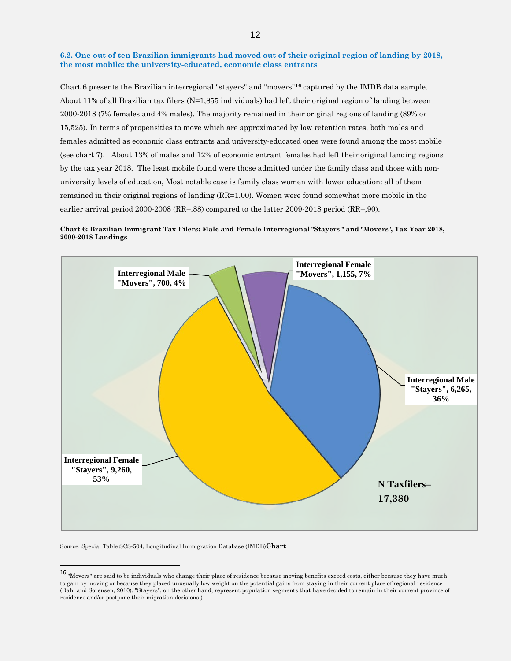#### **6.2. One out of ten Brazilian immigrants had moved out of their original region of landing by 2018, the most mobile: the university-educated, economic class entrants**

Chart 6 presents the Brazilian interregional "stayers" and "movers"**[16](#page-11-0)** captured by the IMDB data sample. About 11% of all Brazilian tax filers (N=1,855 individuals) had left their original region of landing between 2000-2018 (7% females and 4% males). The majority remained in their original regions of landing (89% or 15,525). In terms of propensities to move which are approximated by low retention rates, both males and females admitted as economic class entrants and university-educated ones were found among the most mobile (see chart 7). About 13% of males and 12% of economic entrant females had left their original landing regions by the tax year 2018. The least mobile found were those admitted under the family class and those with nonuniversity levels of education, Most notable case is family class women with lower education: all of them remained in their original regions of landing (RR=1.00). Women were found somewhat more mobile in the earlier arrival period 2000-2008 (RR=.88) compared to the latter 2009-2018 period (RR=,90).





Source: Special Table SCS-504, Longitudinal Immigration Database (IMDB)**Chart**

<span id="page-11-0"></span><sup>&</sup>lt;sup>16</sup> "Movers" are said to be individuals who change their place of residence because moving benefits exceed costs, either because they have much to gain by moving or because they placed unusually low weight on the potential gains from staying in their current place of regional residence (Dahl and Sorensen, 2010). "Stayers", on the other hand, represent population segments that have decided to remain in their current province of residence and/or postpone their migration decisions.)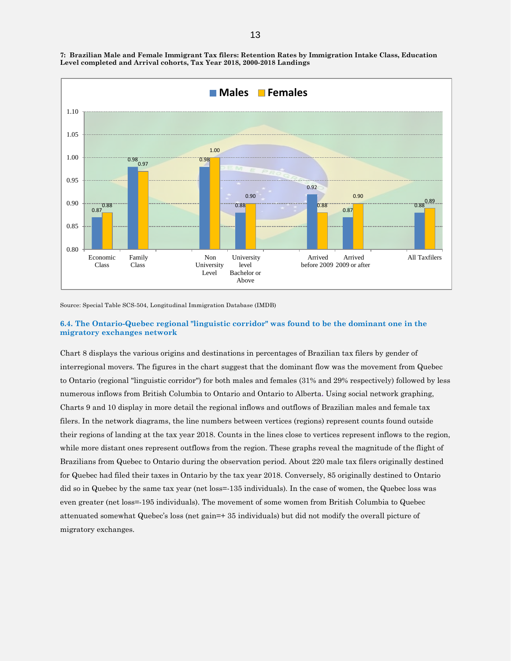

**7: Brazilian Male and Female Immigrant Tax filers: Retention Rates by Immigration Intake Class, Education Level completed and Arrival cohorts, Tax Year 2018, 2000-2018 Landings** 

Source: Special Table SCS-504, Longitudinal Immigration Database (IMDB)

# **6.4. The Ontario-Quebec regional "linguistic corridor" was found to be the dominant one in the migratory exchanges network**

Chart 8 displays the various origins and destinations in percentages of Brazilian tax filers by gender of interregional movers. The figures in the chart suggest that the dominant flow was the movement from Quebec to Ontario (regional "linguistic corridor") for both males and females (31% and 29% respectively) followed by less numerous inflows from British Columbia to Ontario and Ontario to Alberta**.** Using social network graphing, Charts 9 and 10 display in more detail the regional inflows and outflows of Brazilian males and female tax filers. In the network diagrams, the line numbers between vertices (regions) represent counts found outside their regions of landing at the tax year 2018. Counts in the lines close to vertices represent inflows to the region, while more distant ones represent outflows from the region. These graphs reveal the magnitude of the flight of Brazilians from Quebec to Ontario during the observation period. About 220 male tax filers originally destined for Quebec had filed their taxes in Ontario by the tax year 2018. Conversely, 85 originally destined to Ontario did so in Quebec by the same tax year (net loss=-135 individuals). In the case of women, the Quebec loss was even greater (net loss=-195 individuals). The movement of some women from British Columbia to Quebec attenuated somewhat Quebec's loss (net gain=+ 35 individuals) but did not modify the overall picture of migratory exchanges.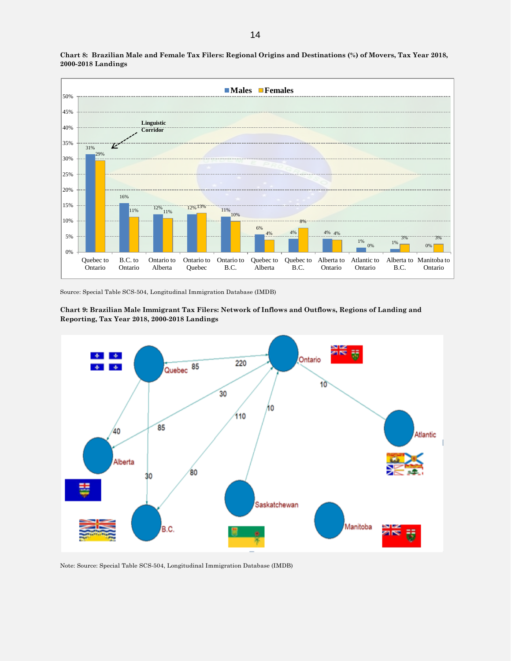

**Chart 8: Brazilian Male and Female Tax Filers: Regional Origins and Destinations (%) of Movers, Tax Year 2018, 2000-2018 Landings**

Source: Special Table SCS-504, Longitudinal Immigration Database (IMDB)



**Chart 9: Brazilian Male Immigrant Tax Filers: Network of Inflows and Outflows, Regions of Landing and Reporting, Tax Year 2018, 2000-2018 Landings**

Note: Source: Special Table SCS-504, Longitudinal Immigration Database (IMDB)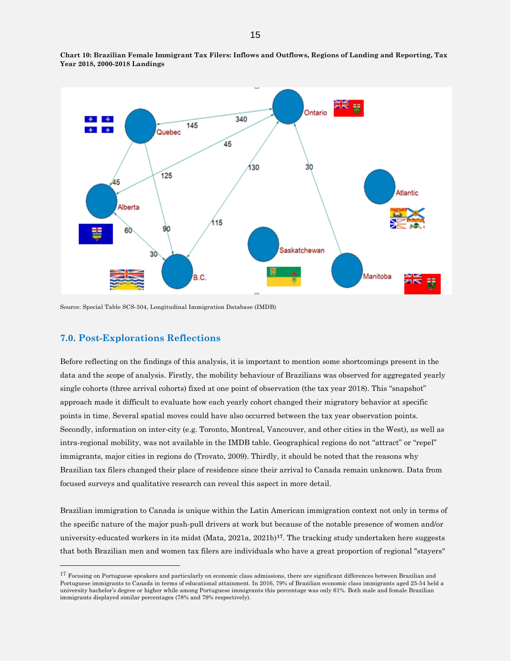

**Chart 10: Brazilian Female Immigrant Tax Filers: Inflows and Outflows, Regions of Landing and Reporting, Tax Year 2018, 2000-2018 Landings**

Source: Special Table SCS-504, Longitudinal Immigration Database (IMDB)

# **7.0. Post-Explorations Reflections**

Before reflecting on the findings of this analysis, it is important to mention some shortcomings present in the data and the scope of analysis. Firstly, the mobility behaviour of Brazilians was observed for aggregated yearly single cohorts (three arrival cohorts) fixed at one point of observation (the tax year 2018). This "snapshot" approach made it difficult to evaluate how each yearly cohort changed their migratory behavior at specific points in time. Several spatial moves could have also occurred between the tax year observation points. Secondly, information on inter-city (e.g. Toronto, Montreal, Vancouver, and other cities in the West), as well as intra-regional mobility, was not available in the IMDB table. Geographical regions do not "attract" or "repel" immigrants, major cities in regions do (Trovato, 2009). Thirdly, it should be noted that the reasons why Brazilian tax filers changed their place of residence since their arrival to Canada remain unknown. Data from focused surveys and qualitative research can reveal this aspect in more detail.

Brazilian immigration to Canada is unique within the Latin American immigration context not only in terms of the specific nature of the major push-pull drivers at work but because of the notable presence of women and/or university-educated workers in its midst (Mata, 2021a, 2021b)**[17](#page-14-0)**. The tracking study undertaken here suggests that both Brazilian men and women tax filers are individuals who have a great proportion of regional "stayers"

<span id="page-14-0"></span><sup>&</sup>lt;sup>17</sup> Focusing on Portuguese speakers and particularly on economic class admissions, there are significant differences between Brazilian and Portuguese immigrants to Canada in terms of educational attainment. In 2016, 79% of Brazilian economic class immigrants aged 25-54 held a university bachelor's degree or higher while among Portuguese immigrants this percentage was only 61%. Both male and female Brazilian immigrants displayed similar percentages (78% and 79% respectively).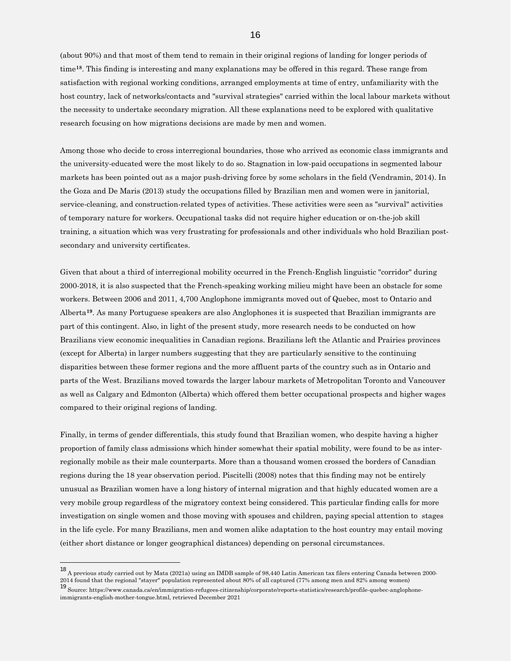(about 90%) and that most of them tend to remain in their original regions of landing for longer periods of time**[18](#page-15-0)**. This finding is interesting and many explanations may be offered in this regard. These range from satisfaction with regional working conditions, arranged employments at time of entry, unfamiliarity with the host country, lack of networks/contacts and "survival strategies" carried within the local labour markets without the necessity to undertake secondary migration. All these explanations need to be explored with qualitative research focusing on how migrations decisions are made by men and women.

Among those who decide to cross interregional boundaries, those who arrived as economic class immigrants and the university-educated were the most likely to do so. Stagnation in low-paid occupations in segmented labour markets has been pointed out as a major push-driving force by some scholars in the field (Vendramin, 2014). In the Goza and De Maris (2013) study the occupations filled by Brazilian men and women were in janitorial, service-cleaning, and construction-related types of activities. These activities were seen as "survival" activities of temporary nature for workers. Occupational tasks did not require higher education or on-the-job skill training, a situation which was very frustrating for professionals and other individuals who hold Brazilian postsecondary and university certificates.

Given that about a third of interregional mobility occurred in the French-English linguistic "corridor" during 2000-2018, it is also suspected that the French-speaking working milieu might have been an obstacle for some workers. Between 2006 and 2011, 4,700 Anglophone immigrants moved out of Quebec, most to Ontario and Alberta**[19](#page-15-1)**. As many Portuguese speakers are also Anglophones it is suspected that Brazilian immigrants are part of this contingent. Also, in light of the present study, more research needs to be conducted on how Brazilians view economic inequalities in Canadian regions. Brazilians left the Atlantic and Prairies provinces (except for Alberta) in larger numbers suggesting that they are particularly sensitive to the continuing disparities between these former regions and the more affluent parts of the country such as in Ontario and parts of the West. Brazilians moved towards the larger labour markets of Metropolitan Toronto and Vancouver as well as Calgary and Edmonton (Alberta) which offered them better occupational prospects and higher wages compared to their original regions of landing.

Finally, in terms of gender differentials, this study found that Brazilian women, who despite having a higher proportion of family class admissions which hinder somewhat their spatial mobility, were found to be as interregionally mobile as their male counterparts. More than a thousand women crossed the borders of Canadian regions during the 18 year observation period. Piscitelli (2008) notes that this finding may not be entirely unusual as Brazilian women have a long history of internal migration and that highly educated women are a very mobile group regardless of the migratory context being considered. This particular finding calls for more investigation on single women and those moving with spouses and children, paying special attention to stages in the life cycle. For many Brazilians, men and women alike adaptation to the host country may entail moving (either short distance or longer geographical distances) depending on personal circumstances.

<span id="page-15-0"></span><sup>18</sup> A previous study carried out by Mata (2021a) using an IMDB sample of 98,440 Latin American tax filers entering Canada between 2000- 2014 found that the regional "stayer" population represented about 80% of all captured (77% among men and 82% among women)<br><sup>19</sup> Source: https://www.canada.ca/en/immigration-refugees-citizenship/corporate/reports-statistics

<span id="page-15-1"></span>immigrants-english-mother-tongue.html, retrieved December 2021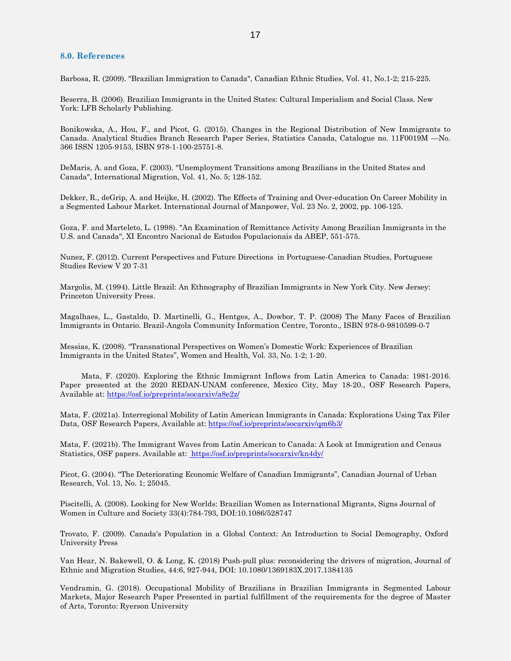# **8.0. References**

Barbosa, R. (2009). "Brazilian Immigration to Canada", Canadian Ethnic Studies, Vol. 41, No.1-2; 215-225.

Beserra, B. (2006). Brazilian Immigrants in the United States: Cultural Imperialism and Social Class. New York: LFB Scholarly Publishing.

Bonikowska, A., Hou, F., and Picot, G. (2015). Changes in the Regional Distribution of New Immigrants to Canada. Analytical Studies Branch Research Paper Series, Statistics Canada, Catalogue no. 11F0019M —No. 366 ISSN 1205-9153, ISBN 978-1-100-25751-8.

DeMaris, A. and Goza, F. (2003). "Unemployment Transitions among Brazilians in the United States and Canada", International Migration, Vol. 41, No. 5; 128-152.

Dekker, R., deGrip, A. and Heijke, H. (2002). The Effects of Training and Over-education On Career Mobility in a Segmented Labour Market. International Journal of Manpower, Vol. 23 No. 2, 2002, pp. 106-125.

Goza, F. and Marteleto, L. (1998). "An Examination of Remittance Activity Among Brazilian Immigrants in the U.S. and Canada", XI Encontro Nacional de Estudos Populacionais da ABEP, 551-575.

Nunez, F. (2012). Current Perspectives and Future Directions in Portuguese-Canadian Studies, Portuguese Studies Review V 20 7-31

Margolis, M. (1994). Little Brazil: An Ethnography of Brazilian Immigrants in New York City. New Jersey: Princeton University Press.

Magalhaes, L., Gastaldo, D. Martinelli, G., Hentges, A., Dowbor, T. P. (2008) The Many Faces of Brazilian Immigrants in Ontario. Brazil-Angola Community Information Centre, Toronto., ISBN 978-0-9810599-0-7

Messias, K. (2008). "Transnational Perspectives on Women's Domestic Work: Experiences of Brazilian Immigrants in the United States", Women and Health, Vol. 33, No. 1-2; 1-20.

 Mata, F. (2020). Exploring the Ethnic Immigrant Inflows from Latin America to Canada: 1981-2016. Paper presented at the 2020 REDAN-UNAM conference, Mexico City, May 18-20., OSF Research Papers, Available at: https://osf.io/preprints/socarxiv/a[8e2z/](https://osf.io/preprints/socarxiv/qm6h3/)

Mata, F. (2021a). Interregional Mobility of Latin American Immigrants in Canada: Explorations Using Tax Filer Data, OSF Research Papers, Available at: https://osf.io/preprints/socarxiv/qm6h3/

Mata, F. (2021b). The Immigrant Waves from Latin American to Canada: A Look at Immigration and Census Statistics, OSF papers. Available at: https://osf.io/preprints/socarxiv/kn4dy/

Picot, G. (2004). "The Deteriorating Economic Welfare of Canadian Immigrants", Canadian Journal of Urban Research, Vol. 13, No. 1; 25045.

Piscitelli, A. (2008). Looking for New Worlds: Brazilian Women as International Migrants, Signs Journal of Women in Culture and Society 33(4):784-793, DOI:10.1086/528747

Trovato, F. (2009). Canada's Population in a Global Context: An Introduction to Social Demography, Oxford University Press

Van Hear, N. Bakewell, O. & Long, K. (2018) Push-pull plus: reconsidering the drivers of migration, Journal of Ethnic and Migration Studies, 44:6, 927-944, DOI: 10.1080/1369183X.2017.1384135

Vendramin, G. (2018). Occupational Mobility of Brazilians in Brazilian Immigrants in Segmented Labour Markets, Major Research Paper Presented in partial fulfillment of the requirements for the degree of Master of Arts, Toronto: Ryerson University